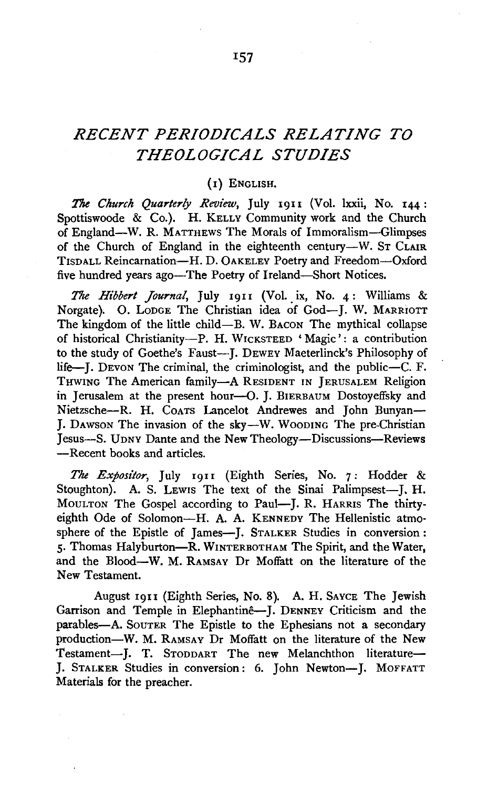# *RECENT PERIODICALS RELATING TO THEOLOGICAL STUDIES*

#### (I} ENGLISH.

The *Church Quarterly Review,* July I9II (Vol. lxxii, No. 144: Spottiswoode & Co.). H. KELLY Community work and the Church of England-W. R. MATTHEWS The Morals of Immoralism-Glimpses of the Church of England in the eighteenth century-W. ST CLAIR TISDALL Reincarnation-H. D. 0AKELEY Poetry and Freedom-Oxford five hundred years ago—The Poetry of Ireland—Short Notices.

*The Hibbert Journal*, July 1911 (Vol. ix, No. 4: Williams & Norgate). O. LODGE The Christian idea of God-J. W. MARRIOTT The kingdom of the little child-B. W. BACON The mythical collapse of historical Christianity-P. H. WICKSTEED 'Magic': a contribution to the study of Goethe's Faust--- J. DEWEY Maeterlinck's Philosophy of life-J. Devon The criminal, the criminologist, and the public-C. F. THWING The American family-A RESIDENT IN JERUSALEM Religion in Jerusalem at the present hour-O. J. BIERBAUM Dostoyeffsky and Nietzsche--R. H. Coars Lancelot Andrewes and John Bunyan-J. Dawson The invasion of the sky-W. WOODING The pre-Christian Jesus-S. UDNY Dante and the New Theology-Discussions-Reviews -Recent books and articles.

The Expositor, July 1911 (Eighth Series, No. 7: Hodder & Stoughton). A. S. Lewis The text of the Sinai Palimpsest-J. H. MouLTON The Gospel according to Paul-J. R. HARRIS The thirtyeighth Ode of Solomon-H. A. A. KENNEDY The Hellenistic atmosphere of the Epistle of James-J. STALKER Studies in conversion: 5· Thomas Halyburton-R. WINTERBOTHAM The Spirit, and the Water, and the Blood-W. M. RAMSAY Dr Moffatt on the literature of the New Testament.

August 19u (Eighth Series, No. 8). A. H. SAYCE The Jewish Garrison and Temple in Elephantinê-J. DENNEY Criticism and the parables-A. SouTER The Epistle to the Ephesians not a secondary production-W. M. RAMSAY Dr Moffatt on the literature of the New Testament-J. T. STODDART The new Melanchthon literature-J. STALKER Studies in conversion: 6. John Newton-J. MOFFATT Materials for the preacher.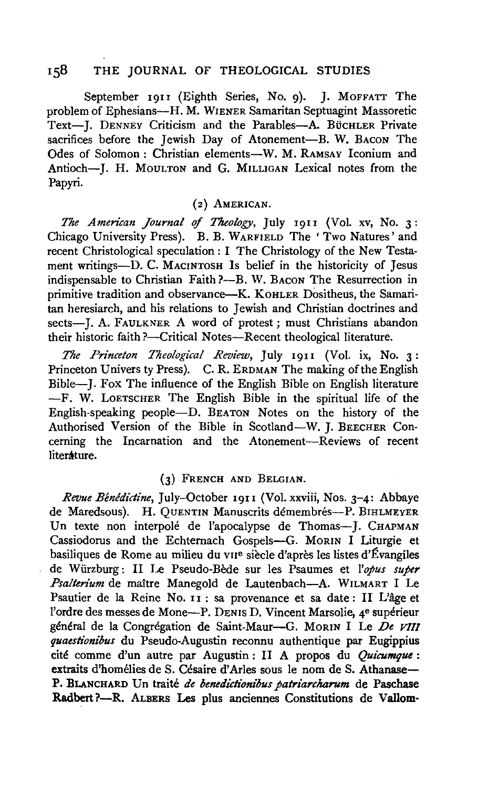## 158 THE JOURNAL OF THEOLOGICAL STUDIES

September 1911 (Eighth Series, No. 9). J. MOFFATT The problem of Ephesians—H. M. WIENER Samaritan Septuagint Massoretic Text-J. DENNEY Criticism and the Parables-A. BüCHLER Private sacrifices before the Jewish Day of Atonement-B. W. BACON The Odes of Solomon: Christian elements-W. M. RAMSAY Iconium and Antioch-J. H. MouLTON and G. MILLIGAN Lexical notes from the Papyri.

### (2} AMERICAN.

*The American Journal* of *Theology,* July 19II (Vol. xv, No. 3: Chicago University Press). B. B. WARFIELD The 'Two Natures' and recent Christological speculation: I The Christology of the New Testament writings-D. C. MACINTOSH Is belief in the historicity of Jesus indispensable to Christian Faith ?- B. W. BACON The Resurrection in primitive tradition and observance-K. KOHLER Dositheus, the Samaritan heresiarch, and his relations to Jewish and Christian doctrines and *sects-].* A. FAULKNER A word of protest; must Christians abandon their historic faith ?- Critical Notes-Recent theological literature.

*The Princeton Theological Review*, July 1911 (Vol. ix, No. 3: Princeton Univers ty Press). C. R. ERDMAN The making of the English Bible-J. Fox The influence of the English Bible on English literature -F. W. LoETSCHER The English Bible in the spiritual life of the English-speaking people-D. BEATON Notes on the history of the Authorised Version of the Bible in Scotland-W. J. BEECHER Concerning the Incarnation and the Atonement-Reviews of recent litersture.

#### (3) FRENCH AND BELGIAN.

*Revue Benedictine,* July-October 1911 (Vol. xxviii, Nos. 3-4: Abbaye de Maredsous). H. QUENTIN Manuscrits démembrés-P. BIHLMEYER Un texte non interpolé de l'apocalypse de Thomas-J. CHAPMAN Cassiodorus and the Echternach Gospels-G. MoRIN I Liturgie et basiliques de Rome au milieu du vue siecle d'apres les listes d'Evangiles de Wiirzburg: 11 Le Pseudo-Bede sur les Psaumes et *!'opus super Psalterium* de maitre Manegold de Lautenbach-A. WILMART I Le Psautier de la Reine No. 11 : sa provenance et sa date: 11 L'age et l'ordre des messes de Mone-P. DENIS D. Vincent Marsolie, 4<sup>e</sup> supérieur général de la Congrégation de Saint-Maur-G. MORIN I Le De VIII *quaestionibus* du Pseudo-Augustin reconnu authentique par Eugippius cité comme d'un autre par Augustin : II A propos du *Quicumque* : extraits d'homélies de S. Césaire d'Arles sous le nom de S. Athanase-**P.** BLANCHARD Un traite *de benedictionibus patriarcharum* de Paschase **Radbert** ?-R. ALBERS Les plus anciennes Constitutions de **Vallom-**